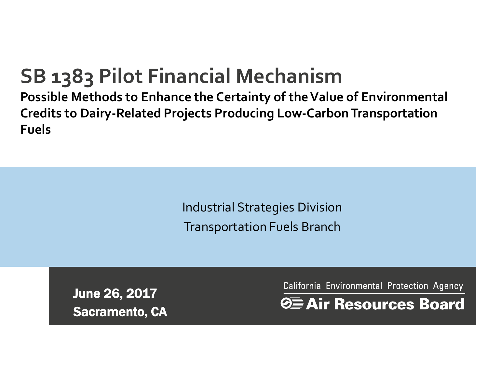#### **SB 1383 Pilot Financial Mechanism**

**Possible Methods to Enhance the Certainty of the Value of Environmental Credits to Dairy-Related Projects Producing Low-Carbon Transportation Fuels** 

> Industrial Strategies Division Transportation Fuels Branch

June 26, 2017 Sacramento, CA California Environmental Protection Agency

**OE** Air Resources Board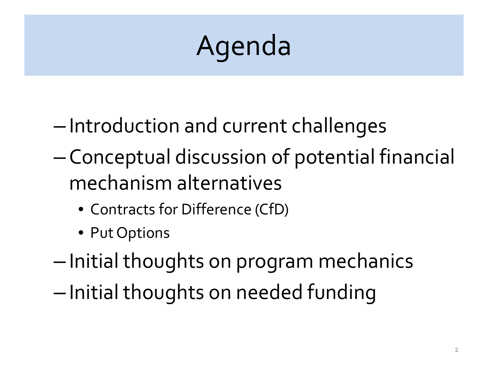# Agenda

- Introduction and current challenges
- Conceptual discussion of potential financial mechanism alternatives
	- Contracts for Difference (CfD)
	- Put Options
- Initial thoughts on program mechanics
- Initial thoughts on needed funding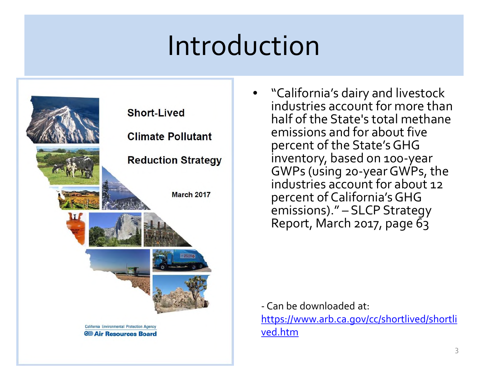#### Introduction



• "California's dairy and livestock industries account for more than half of the State's total methane emissions and for about five percent of the State'sGHG inventory, based on 100-year GWPs (using 20-yearGWPs, the industries account for about 12 percent of California'sGHG emissions)." – SLCP Strategy Report, March 2017, page 63

- Can be downloaded at: [https://www.arb.ca.gov/cc/shortlived/shortli](https://www.arb.ca.gov/cc/shortlived/shortlived.htm) ved.htm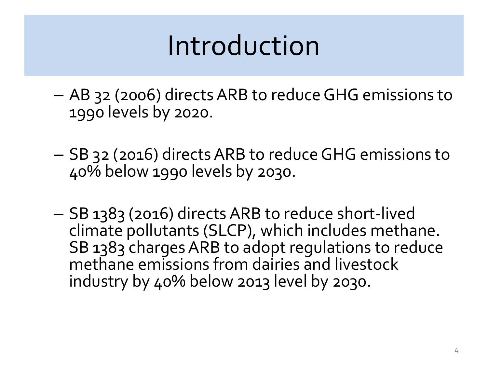### Introduction

- AB 32 (2006) directs ARB to reduce GHG emissions to 1990 levels by 2020.
- SB 32 (2016) directs ARB to reduce GHG emissions to 40% below 1990 levels by 2030.
- SB 1383 (2016) directs ARB to reduce short-lived climate pollutants (SLCP), which includes methane. SB 1383 charges ARB to adopt regulations to reduce methane emissions from dairies and livestock industry by 40% below 2013 level by 2030.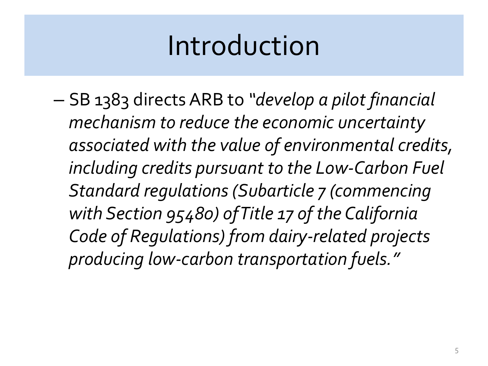#### Introduction

– SB 1383 directs ARB to *"develop a pilot financial mechanism to reduce the economic uncertainty associated with the value of environmental credits, including credits pursuant to the Low-Carbon Fuel Standard regulations (Subarticle 7 (commencing with Section 95480) of Title 17 of the California Code of Regulations) from dairy-related projects producing low-carbon transportation fuels."*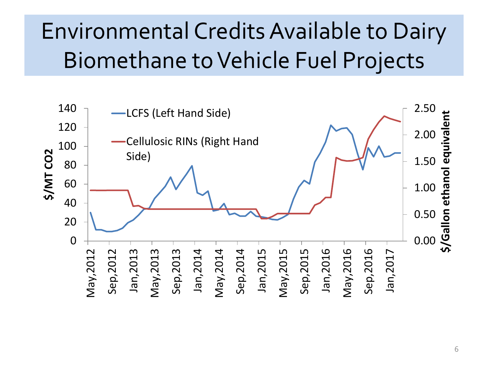#### Environmental Credits Available to Dairy Biomethane to Vehicle Fuel Projects

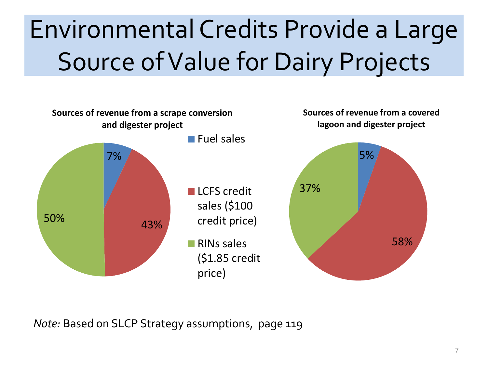## Environmental Credits Provide a Large Source of Value for Dairy Projects



*Note:* Based on SLCP Strategy assumptions, page 119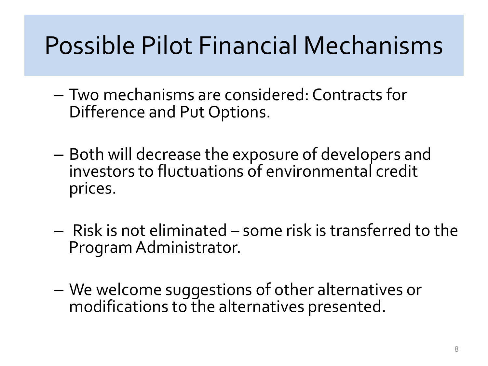#### Possible Pilot Financial Mechanisms

- Two mechanisms are considered: Contracts for Difference and Put Options.
- Both will decrease the exposure of developers and investors to fluctuations of environmental credit prices.
- Risk is not eliminated some risk is transferred to the Program Administrator.
- We welcome suggestions of other alternatives or modifications to the alternatives presented.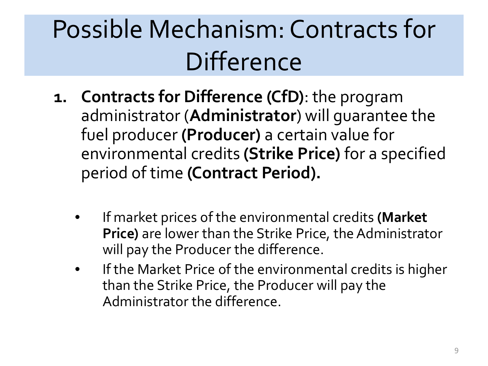## Possible Mechanism: Contracts for **Difference**

- **1. Contracts for Difference (CfD)**: the program administrator (**Administrator**) will guarantee the fuel producer **(Producer)** a certain value for environmental credits **(Strike Price)** for a specified period of time **(Contract Period).**
	- If market prices of the environmental credits **(Market Price)** are lower than the Strike Price, the Administrator will pay the Producer the difference.
	- If the Market Price of the environmental credits is higher than the Strike Price, the Producer will pay the Administrator the difference.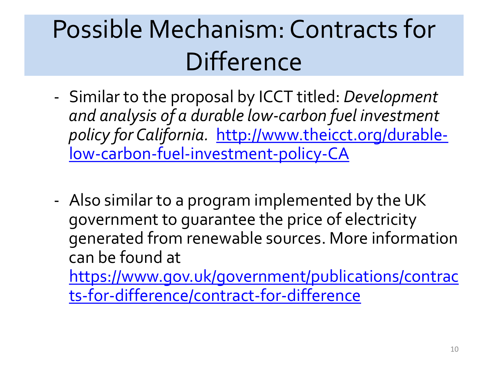## Possible Mechanism: Contracts for **Difference**

- Similar to the proposal by ICCT titled: *Development and analysis of a durable low-carbon fuel investment policy for California.* http://www.theicct.org/durable[low-carbon-fuel-investment-policy-CA](http://www.theicct.org/durable-low-carbon-fuel-investment-policy-CA)
- Also similar to a program implemented by the UK government to guarantee the price of electricity generated from renewable sources. More information can be found at

[https://www.gov.uk/government/publications/contrac](https://www.gov.uk/government/publications/contracts-for-difference/contract-for-difference) ts-for-difference/contract-for-difference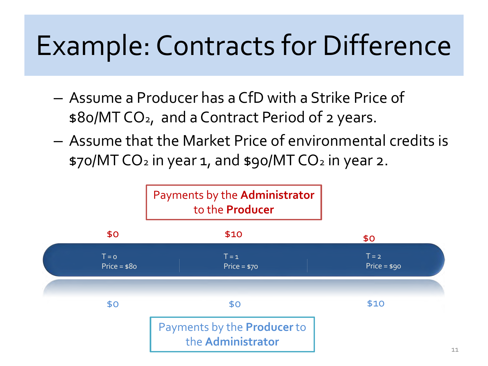## Example: Contracts for Difference

- Assume a Producer has a CfD with a Strike Price of \$80/MT CO2, and a Contract Period of 2 years.
- Assume that the Market Price of environmental credits is \$70/MT CO<sub>2</sub> in year 1, and \$90/MT CO<sub>2</sub> in year 2.

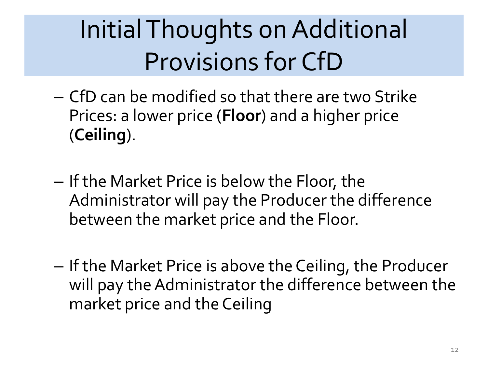## Initial Thoughts on Additional Provisions for CfD

- CfD can be modified so that there are two Strike Prices: a lower price (**Floor**) and a higher price (**Ceiling**).
- If the Market Price is below the Floor, the Administrator will pay the Producer the difference between the market price and the Floor.
- If the Market Price is above the Ceiling, the Producer will pay the Administrator the difference between the market price and the Ceiling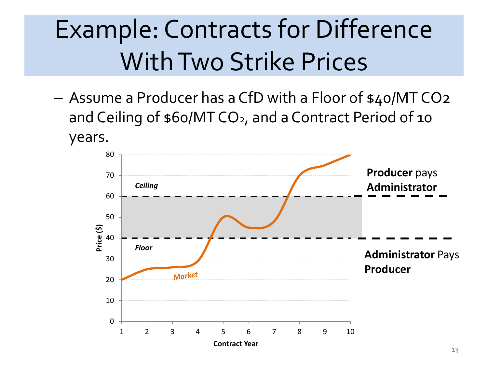### Example: Contracts for Difference With Two Strike Prices

– Assume a Producer has a CfD with a Floor of \$40/MT CO2 and Ceiling of \$60/MT CO<sub>2</sub>, and a Contract Period of 10 years.

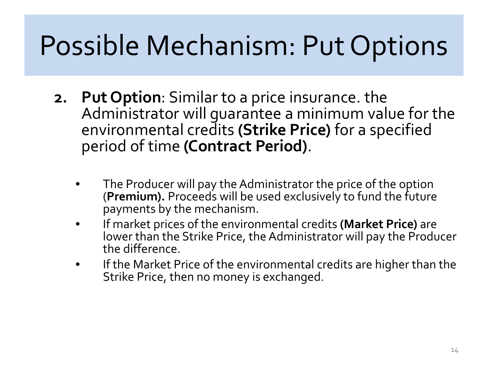## Possible Mechanism: Put Options

- **2. Put Option**: Similar to a price insurance. the Administrator will guarantee a minimum value for the environmental credits **(Strike Price)** for a specified period of time **(Contract Period)**.
	- The Producer will pay the Administrator the price of the option (**Premium).** Proceeds will be used exclusively to fund the future payments by the mechanism.
	- If market prices of the environmental credits **(Market Price)** are lower than the Strike Price, the Administrator will pay the Producer the difference.
	- If the Market Price of the environmental credits are higher than the Strike Price, then no money is exchanged.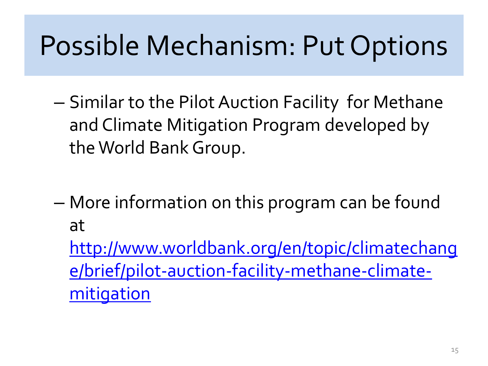### Possible Mechanism: Put Options

- Similar to the Pilot Auction Facility for Methane and Climate Mitigation Program developed by the World Bank Group.
- More information on this program can be found at http://www.worldbank.org/en/topic/climatechang

[e/brief/pilot-auction-facility-methane-climate](http://www.worldbank.org/en/topic/climatechange/brief/pilot-auction-facility-methane-climate-mitigation)mitigation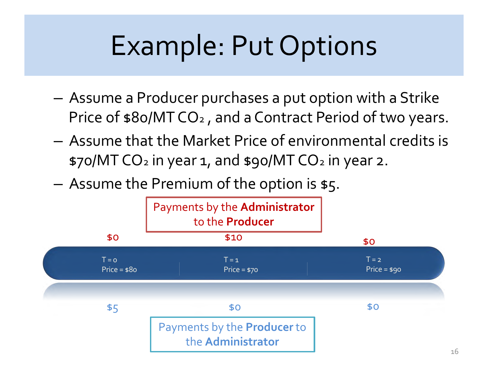## Example: Put Options

- Assume a Producer purchases a put option with a Strike Price of \$80/MT CO<sup>2</sup> , and a Contract Period of two years.
- Assume that the Market Price of environmental credits is \$70/MT CO<sub>2</sub> in year 1, and \$90/MT CO<sub>2</sub> in year 2.
- Assume the Premium of the option is \$5.

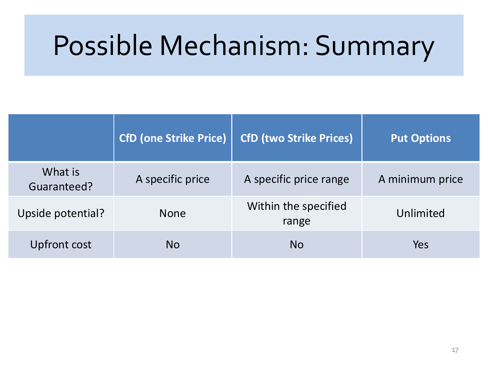#### Possible Mechanism: Summary

|                        | <b>CfD (one Strike Price)</b> | <b>CfD (two Strike Prices)</b> | <b>Put Options</b> |
|------------------------|-------------------------------|--------------------------------|--------------------|
| What is<br>Guaranteed? | A specific price              | A specific price range         | A minimum price    |
| Upside potential?      | <b>None</b>                   | Within the specified<br>range  | Unlimited          |
| Upfront cost           | No                            | <b>No</b>                      | Yes                |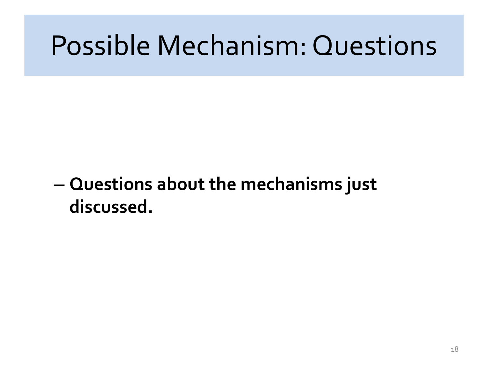#### Possible Mechanism: Questions

#### – **Questions about the mechanisms just discussed.**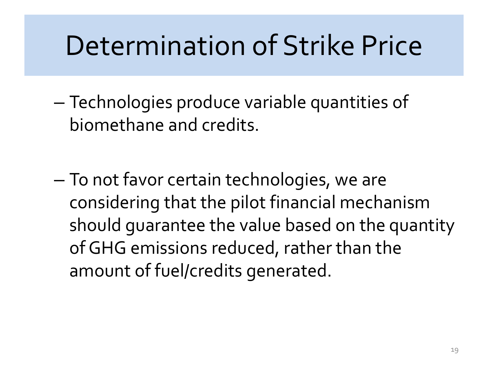#### Determination of Strike Price

- Technologies produce variable quantities of biomethane and credits.
- To not favor certain technologies, we are considering that the pilot financial mechanism should guarantee the value based on the quantity of GHG emissions reduced, rather than the amount of fuel/credits generated.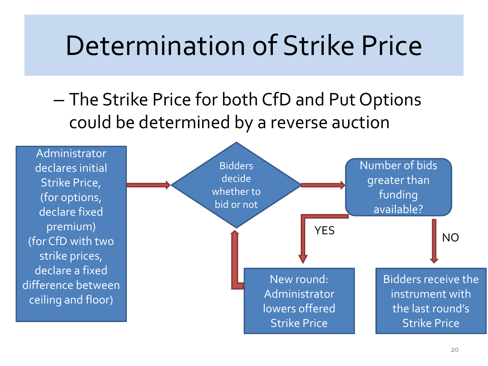#### Determination of Strike Price

– The Strike Price for both CfD and Put Options could be determined by a reverse auction

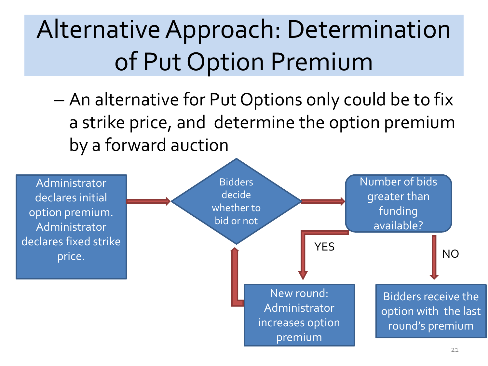### Alternative Approach: Determination of Put Option Premium

– An alternative for Put Options only could be to fix a strike price, and determine the option premium by a forward auction

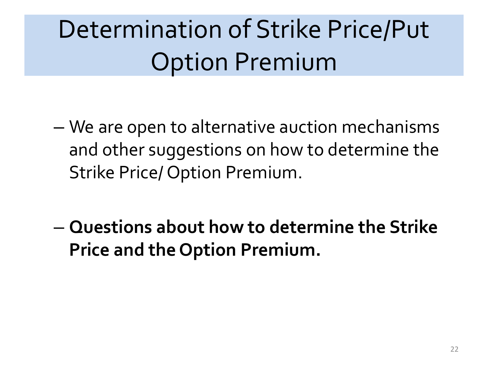### Determination of Strike Price/Put Option Premium

- We are open to alternative auction mechanisms and other suggestions on how to determine the Strike Price/ Option Premium.
- **Questions about how to determine the Strike Price and the Option Premium.**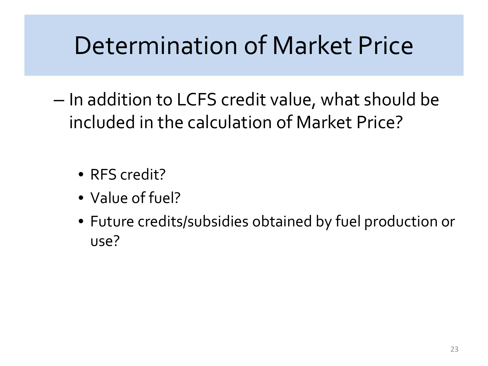#### Determination of Market Price

– In addition to LCFS credit value, what should be included in the calculation of Market Price?

- RFS credit?
- Value of fuel?
- Future credits/subsidies obtained by fuel production or use?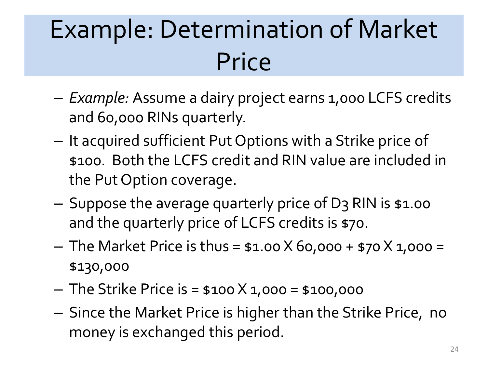### Example: Determination of Market Price

- *Example:* Assume a dairy project earns 1,000 LCFS credits and 60,000 RINs quarterly.
- It acquired sufficient Put Options with a Strike price of \$100. Both the LCFS credit and RIN value are included in the Put Option coverage.
- Suppose the average quarterly price of D3 RIN is \$1.00 and the quarterly price of LCFS credits is \$70.
- $-$  The Market Price is thus = \$1.00 X 60,000 + \$70 X 1,000 = \$130,000
- $-$  The Strike Price is = \$100 X 1,000 = \$100,000
- Since the Market Price is higher than the Strike Price, no money is exchanged this period.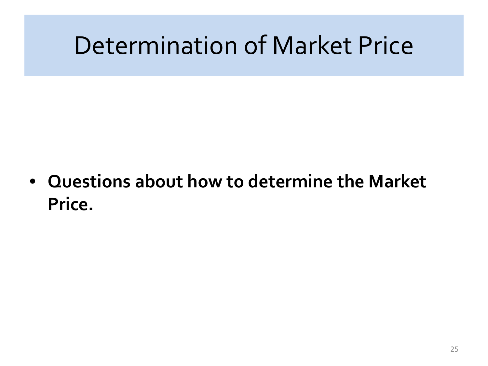#### Determination of Market Price

• **Questions about how to determine the Market Price.**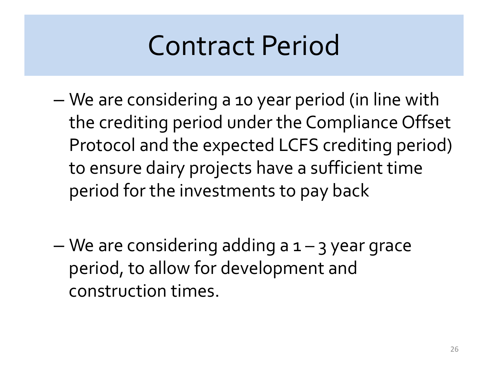### Contract Period

- We are considering a 10 year period (in line with the crediting period under the Compliance Offset Protocol and the expected LCFS crediting period) to ensure dairy projects have a sufficient time period for the investments to pay back
- $-$  We are considering adding a  $1 3$  year grace period, to allow for development and construction times.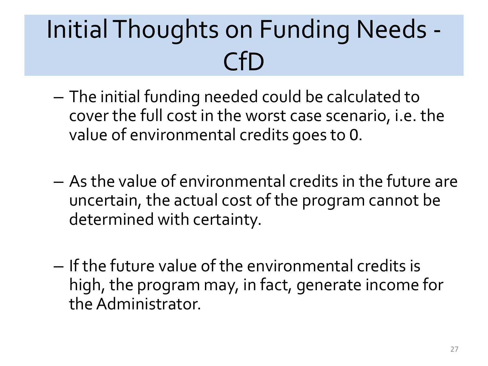### Initial Thoughts on Funding Needs - CfD

- The initial funding needed could be calculated to cover the full cost in the worst case scenario, i.e. the value of environmental credits goes to 0.
- As the value of environmental credits in the future are uncertain, the actual cost of the program cannot be determined with certainty.
- If the future value of the environmental credits is high, the program may, in fact, generate income for the Administrator.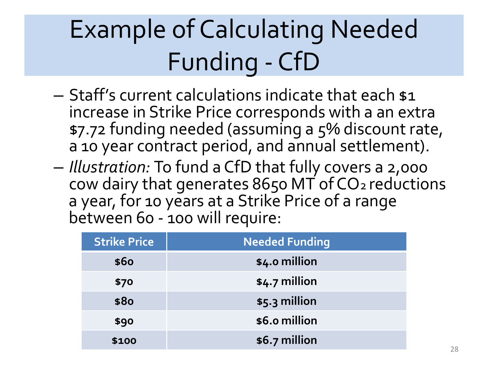## Example of Calculating Needed Funding - CfD

- Staff's current calculations indicate that each \$1 increase in Strike Price corresponds with a an extra \$7.72 funding needed (assuming a 5% discount rate, a 10 year contract period, and annual settlement).
- *Illustration:* To fund a CfD that fully covers a 2,000 cow dairy that generates 8650 MT of CO2 reductions a year, for 10 years at a Strike Price of a range between 60 - 100 will require:

| <b>Strike Price</b> | <b>Needed Funding</b> |
|---------------------|-----------------------|
| \$60                | \$4.0 million         |
| \$70                | $$4.7$ million        |
| \$80                | \$5.3 million         |
| \$90                | \$6.0 million         |
| \$100               | \$6.7 million         |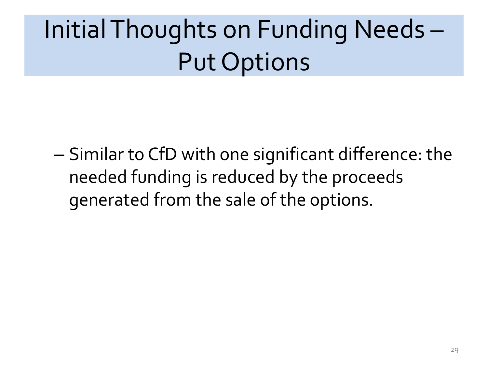## Initial Thoughts on Funding Needs – Put Options

– Similar to CfD with one significant difference: the needed funding is reduced by the proceeds generated from the sale of the options.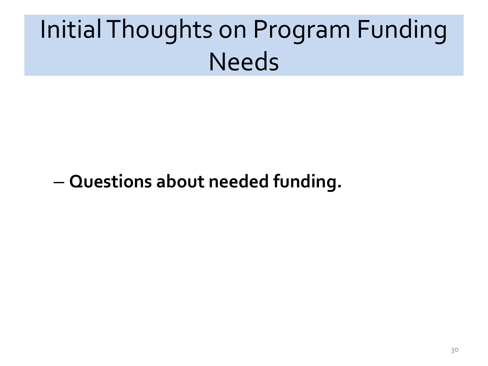## Initial Thoughts on Program Funding **Needs**

#### – **Questions about needed funding.**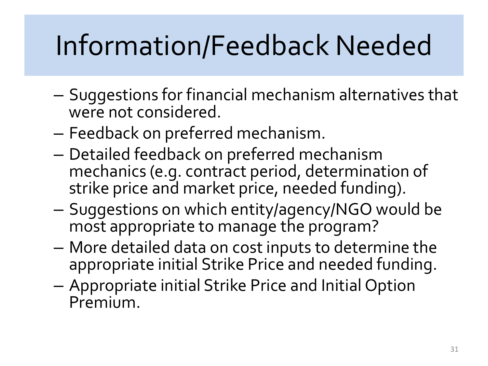## Information/Feedback Needed

- Suggestions for financial mechanism alternatives that were not considered.
- Feedback on preferred mechanism.
- Detailed feedback on preferred mechanism mechanics (e.g. contract period, determination of strike price and market price, needed funding).
- Suggestions on which entity/agency/NGO would be most appropriate to manage the program?
- More detailed data on cost inputs to determine the appropriate initial Strike Price and needed funding.
- Appropriate initial Strike Price and Initial Option Premium.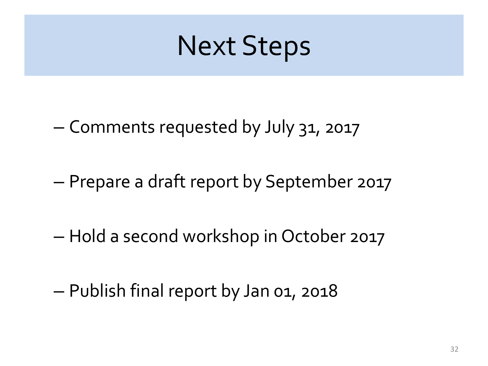#### Next Steps

- Comments requested by July 31, 2017
- Prepare a draft report by September 2017
- Hold a second workshop in October 2017
- Publish final report by Jan 01, 2018